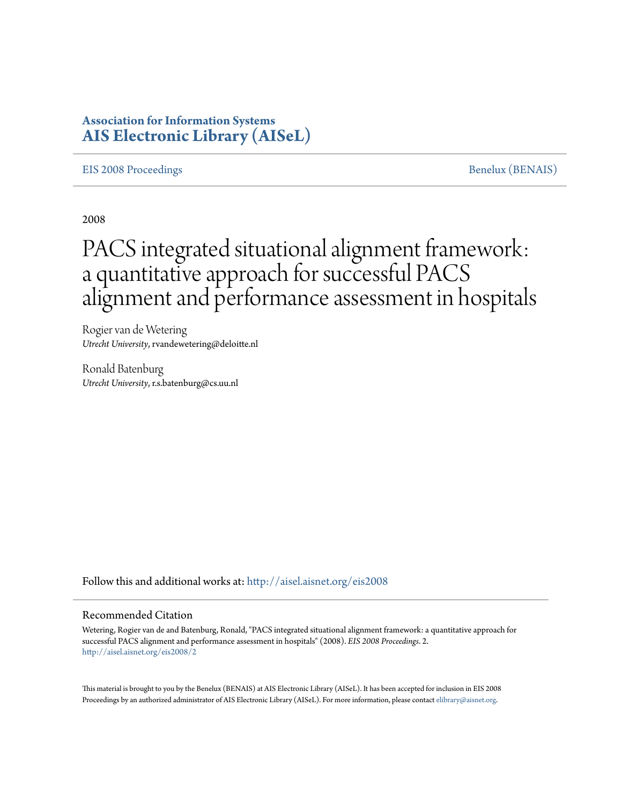# **Association for Information Systems [AIS Electronic Library \(AISeL\)](http://aisel.aisnet.org?utm_source=aisel.aisnet.org%2Feis2008%2F2&utm_medium=PDF&utm_campaign=PDFCoverPages)**

#### [EIS 2008 Proceedings](http://aisel.aisnet.org/eis2008?utm_source=aisel.aisnet.org%2Feis2008%2F2&utm_medium=PDF&utm_campaign=PDFCoverPages) and the set of the set of the set of the set of the set of the set of the set of the set of the set of the set of the set of the set of the set of the set of the set of the set of the set of the set of

2008

# PACS integrated situational alignment framework: a quantitative approach for successful PACS alignment and performance assessment in hospitals

Rogier van de Wetering *Utrecht University*, rvandewetering@deloitte.nl

Ronald Batenburg *Utrecht University*, r.s.batenburg@cs.uu.nl

Follow this and additional works at: [http://aisel.aisnet.org/eis2008](http://aisel.aisnet.org/eis2008?utm_source=aisel.aisnet.org%2Feis2008%2F2&utm_medium=PDF&utm_campaign=PDFCoverPages)

#### Recommended Citation

Wetering, Rogier van de and Batenburg, Ronald, "PACS integrated situational alignment framework: a quantitative approach for successful PACS alignment and performance assessment in hospitals" (2008). *EIS 2008 Proceedings*. 2. [http://aisel.aisnet.org/eis2008/2](http://aisel.aisnet.org/eis2008/2?utm_source=aisel.aisnet.org%2Feis2008%2F2&utm_medium=PDF&utm_campaign=PDFCoverPages)

This material is brought to you by the Benelux (BENAIS) at AIS Electronic Library (AISeL). It has been accepted for inclusion in EIS 2008 Proceedings by an authorized administrator of AIS Electronic Library (AISeL). For more information, please contact [elibrary@aisnet.org](mailto:elibrary@aisnet.org%3E).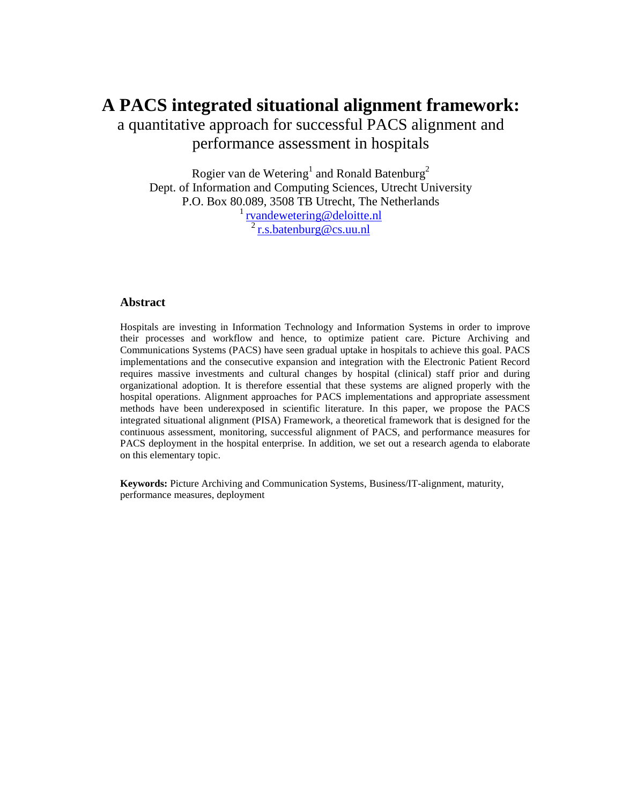# **A PACS integrated situational alignment framework:**

a quantitative approach for successful PACS alignment and performance assessment in hospitals

Rogier van de Wetering<sup>1</sup> and Ronald Batenburg<sup>2</sup> Dept. of Information and Computing Sciences, Utrecht University P.O. Box 80.089, 3508 TB Utrecht, The Netherlands <sup>1</sup> [rvandewetering@deloitte.nl](mailto:rvandewetering@deloitte.nl)  $2 \frac{\text{r.s.} \text{batenburg@cs.} }{1 \text{m.s.}}$ 

#### **Abstract**

Hospitals are investing in Information Technology and Information Systems in order to improve their processes and workflow and hence, to optimize patient care. Picture Archiving and Communications Systems (PACS) have seen gradual uptake in hospitals to achieve this goal. PACS implementations and the consecutive expansion and integration with the Electronic Patient Record requires massive investments and cultural changes by hospital (clinical) staff prior and during organizational adoption. It is therefore essential that these systems are aligned properly with the hospital operations. Alignment approaches for PACS implementations and appropriate assessment methods have been underexposed in scientific literature. In this paper, we propose the PACS integrated situational alignment (PISA) Framework, a theoretical framework that is designed for the continuous assessment, monitoring, successful alignment of PACS, and performance measures for PACS deployment in the hospital enterprise. In addition, we set out a research agenda to elaborate on this elementary topic.

**Keywords:** Picture Archiving and Communication Systems, Business/IT-alignment, maturity, performance measures, deployment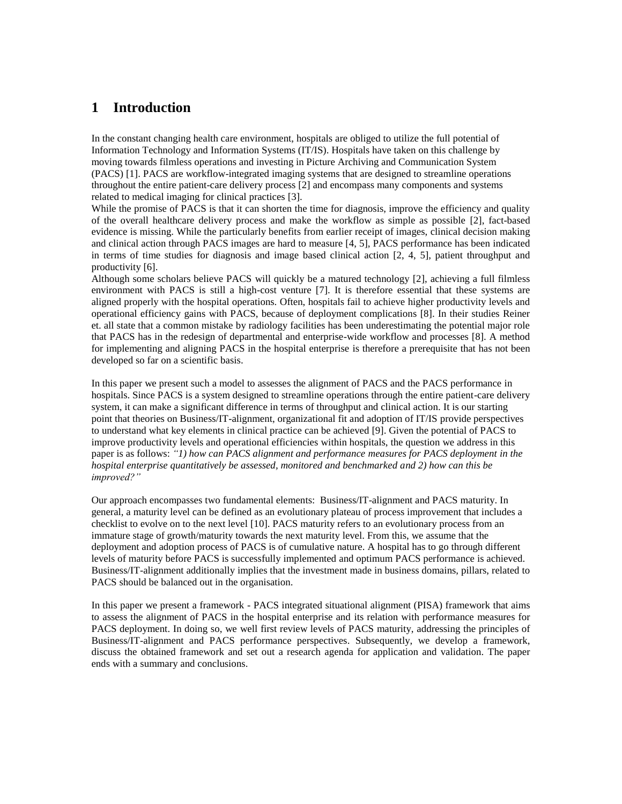# **1 Introduction**

In the constant changing health care environment, hospitals are obliged to utilize the full potential of Information Technology and Information Systems (IT/IS). Hospitals have taken on this challenge by moving towards filmless operations and investing in Picture Archiving and Communication System (PACS) [1]. PACS are workflow-integrated imaging systems that are designed to streamline operations throughout the entire patient-care delivery process [2] and encompass many components and systems related to medical imaging for clinical practices [3].

While the promise of PACS is that it can shorten the time for diagnosis, improve the efficiency and quality of the overall healthcare delivery process and make the workflow as simple as possible [2], fact-based evidence is missing. While the particularly benefits from earlier receipt of images, clinical decision making and clinical action through PACS images are hard to measure [4, 5], PACS performance has been indicated in terms of time studies for diagnosis and image based clinical action [2, 4, 5], patient throughput and productivity [6].

Although some scholars believe PACS will quickly be a matured technology [2], achieving a full filmless environment with PACS is still a high-cost venture [7]. It is therefore essential that these systems are aligned properly with the hospital operations. Often, hospitals fail to achieve higher productivity levels and operational efficiency gains with PACS, because of deployment complications [8]. In their studies Reiner et. all state that a common mistake by radiology facilities has been underestimating the potential major role that PACS has in the redesign of departmental and enterprise-wide workflow and processes [8]. A method for implementing and aligning PACS in the hospital enterprise is therefore a prerequisite that has not been developed so far on a scientific basis.

In this paper we present such a model to assesses the alignment of PACS and the PACS performance in hospitals. Since PACS is a system designed to streamline operations through the entire patient-care delivery system, it can make a significant difference in terms of throughput and clinical action. It is our starting point that theories on Business/IT-alignment, organizational fit and adoption of IT/IS provide perspectives to understand what key elements in clinical practice can be achieved [9]. Given the potential of PACS to improve productivity levels and operational efficiencies within hospitals, the question we address in this paper is as follows: *"1) how can PACS alignment and performance measures for PACS deployment in the hospital enterprise quantitatively be assessed, monitored and benchmarked and 2) how can this be improved?"*

Our approach encompasses two fundamental elements: Business/IT-alignment and PACS maturity. In general, a maturity level can be defined as an evolutionary plateau of process improvement that includes a checklist to evolve on to the next level [10]. PACS maturity refers to an evolutionary process from an immature stage of growth/maturity towards the next maturity level. From this, we assume that the deployment and adoption process of PACS is of cumulative nature. A hospital has to go through different levels of maturity before PACS is successfully implemented and optimum PACS performance is achieved. Business/IT-alignment additionally implies that the investment made in business domains, pillars, related to PACS should be balanced out in the organisation.

In this paper we present a framework - PACS integrated situational alignment (PISA) framework that aims to assess the alignment of PACS in the hospital enterprise and its relation with performance measures for PACS deployment. In doing so, we well first review levels of PACS maturity, addressing the principles of Business/IT-alignment and PACS performance perspectives. Subsequently, we develop a framework, discuss the obtained framework and set out a research agenda for application and validation. The paper ends with a summary and conclusions.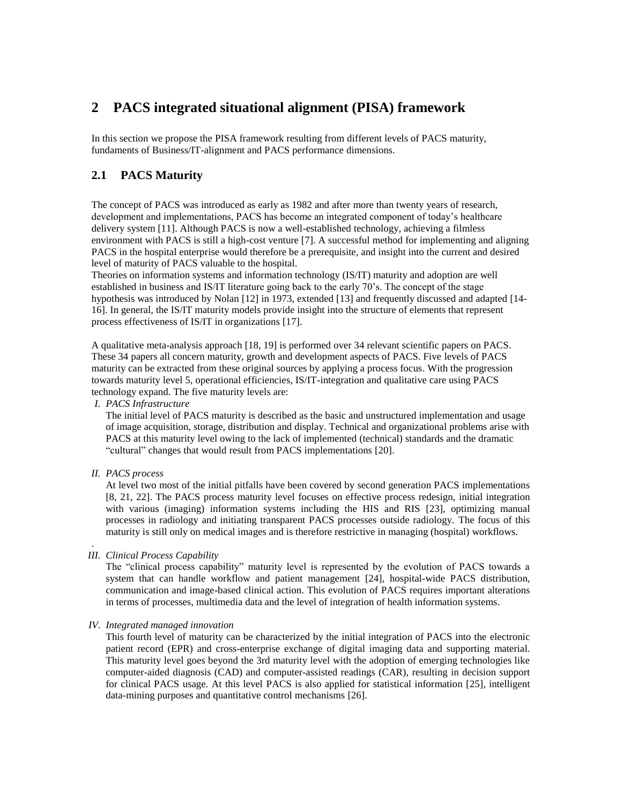# **2 PACS integrated situational alignment (PISA) framework**

In this section we propose the PISA framework resulting from different levels of PACS maturity, fundaments of Business/IT-alignment and PACS performance dimensions.

## **2.1 PACS Maturity**

The concept of PACS was introduced as early as 1982 and after more than twenty years of research, development and implementations, PACS has become an integrated component of today's healthcare delivery system [11]. Although PACS is now a well-established technology, achieving a filmless environment with PACS is still a high-cost venture [7]. A successful method for implementing and aligning PACS in the hospital enterprise would therefore be a prerequisite, and insight into the current and desired level of maturity of PACS valuable to the hospital.

Theories on information systems and information technology (IS/IT) maturity and adoption are well established in business and IS/IT literature going back to the early 70"s. The concept of the stage hypothesis was introduced by Nolan [12] in 1973, extended [13] and frequently discussed and adapted [14- 16]. In general, the IS/IT maturity models provide insight into the structure of elements that represent process effectiveness of IS/IT in organizations [17].

A qualitative meta-analysis approach [18, 19] is performed over 34 relevant scientific papers on PACS. These 34 papers all concern maturity, growth and development aspects of PACS. Five levels of PACS maturity can be extracted from these original sources by applying a process focus. With the progression towards maturity level 5, operational efficiencies, IS/IT-integration and qualitative care using PACS technology expand. The five maturity levels are:

#### *I. PACS Infrastructure*

The initial level of PACS maturity is described as the basic and unstructured implementation and usage of image acquisition, storage, distribution and display. Technical and organizational problems arise with PACS at this maturity level owing to the lack of implemented (technical) standards and the dramatic "cultural" changes that would result from PACS implementations [20].

*II. PACS process*

.

At level two most of the initial pitfalls have been covered by second generation PACS implementations [8, 21, 22]. The PACS process maturity level focuses on effective process redesign, initial integration with various (imaging) information systems including the HIS and RIS [23], optimizing manual processes in radiology and initiating transparent PACS processes outside radiology. The focus of this maturity is still only on medical images and is therefore restrictive in managing (hospital) workflows.

#### *III. Clinical Process Capability*

The "clinical process capability" maturity level is represented by the evolution of PACS towards a system that can handle workflow and patient management [24], hospital-wide PACS distribution, communication and image-based clinical action. This evolution of PACS requires important alterations in terms of processes, multimedia data and the level of integration of health information systems.

#### *IV. Integrated managed innovation*

This fourth level of maturity can be characterized by the initial integration of PACS into the electronic patient record (EPR) and cross-enterprise exchange of digital imaging data and supporting material. This maturity level goes beyond the 3rd maturity level with the adoption of emerging technologies like computer-aided diagnosis (CAD) and computer-assisted readings (CAR), resulting in decision support for clinical PACS usage. At this level PACS is also applied for statistical information [25], intelligent data-mining purposes and quantitative control mechanisms [26].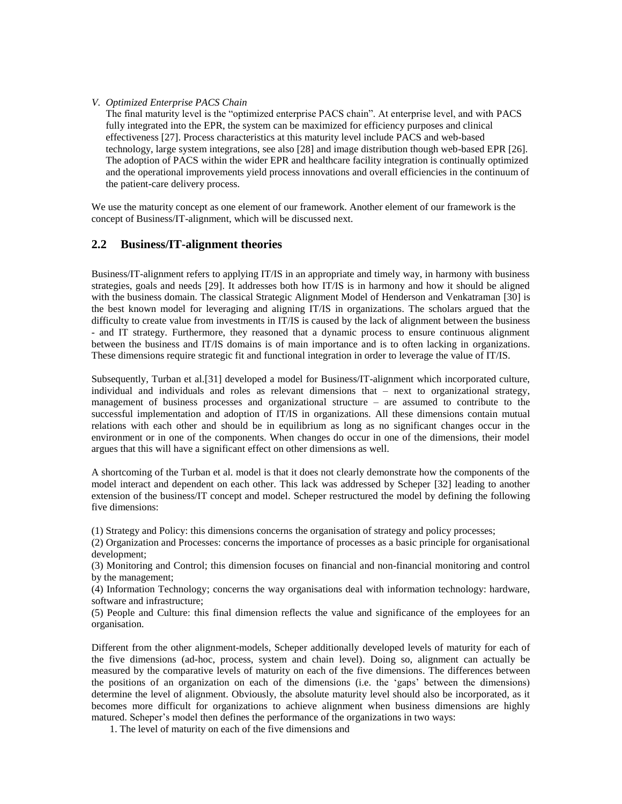#### *V. Optimized Enterprise PACS Chain*

The final maturity level is the "optimized enterprise PACS chain". At enterprise level, and with PACS fully integrated into the EPR, the system can be maximized for efficiency purposes and clinical effectiveness [27]. Process characteristics at this maturity level include PACS and web-based technology, large system integrations, see also [28] and image distribution though web-based EPR [26]. The adoption of PACS within the wider EPR and healthcare facility integration is continually optimized and the operational improvements yield process innovations and overall efficiencies in the continuum of the patient-care delivery process.

We use the maturity concept as one element of our framework. Another element of our framework is the concept of Business/IT-alignment, which will be discussed next.

#### **2.2 Business/IT-alignment theories**

Business/IT-alignment refers to applying IT/IS in an appropriate and timely way, in harmony with business strategies, goals and needs [29]. It addresses both how IT/IS is in harmony and how it should be aligned with the business domain. The classical Strategic Alignment Model of Henderson and Venkatraman [30] is the best known model for leveraging and aligning IT/IS in organizations. The scholars argued that the difficulty to create value from investments in IT/IS is caused by the lack of alignment between the business - and IT strategy. Furthermore, they reasoned that a dynamic process to ensure continuous alignment between the business and IT/IS domains is of main importance and is to often lacking in organizations. These dimensions require strategic fit and functional integration in order to leverage the value of IT/IS.

Subsequently, Turban et al.[31] developed a model for Business/IT-alignment which incorporated culture, individual and individuals and roles as relevant dimensions that – next to organizational strategy, management of business processes and organizational structure – are assumed to contribute to the successful implementation and adoption of IT/IS in organizations. All these dimensions contain mutual relations with each other and should be in equilibrium as long as no significant changes occur in the environment or in one of the components. When changes do occur in one of the dimensions, their model argues that this will have a significant effect on other dimensions as well.

A shortcoming of the Turban et al. model is that it does not clearly demonstrate how the components of the model interact and dependent on each other. This lack was addressed by Scheper [32] leading to another extension of the business/IT concept and model. Scheper restructured the model by defining the following five dimensions:

(1) Strategy and Policy: this dimensions concerns the organisation of strategy and policy processes;

(2) Organization and Processes: concerns the importance of processes as a basic principle for organisational development;

(3) Monitoring and Control; this dimension focuses on financial and non-financial monitoring and control by the management;

(4) Information Technology; concerns the way organisations deal with information technology: hardware, software and infrastructure;

(5) People and Culture: this final dimension reflects the value and significance of the employees for an organisation.

Different from the other alignment-models, Scheper additionally developed levels of maturity for each of the five dimensions (ad-hoc, process, system and chain level). Doing so, alignment can actually be measured by the comparative levels of maturity on each of the five dimensions. The differences between the positions of an organization on each of the dimensions (i.e. the "gaps" between the dimensions) determine the level of alignment. Obviously, the absolute maturity level should also be incorporated, as it becomes more difficult for organizations to achieve alignment when business dimensions are highly matured. Scheper"s model then defines the performance of the organizations in two ways:

1. The level of maturity on each of the five dimensions and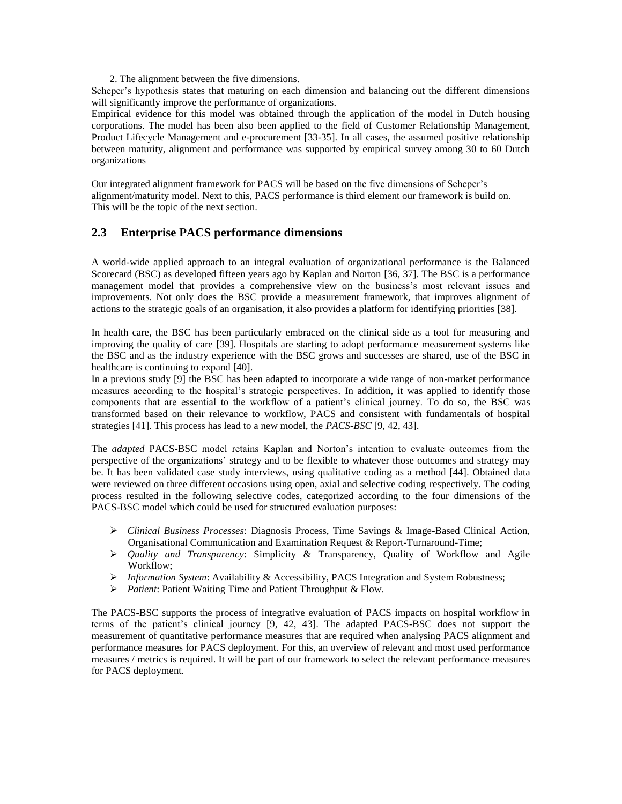2. The alignment between the five dimensions.

Scheper"s hypothesis states that maturing on each dimension and balancing out the different dimensions will significantly improve the performance of organizations.

Empirical evidence for this model was obtained through the application of the model in Dutch housing corporations. The model has been also been applied to the field of Customer Relationship Management, Product Lifecycle Management and e-procurement [33-35]. In all cases, the assumed positive relationship between maturity, alignment and performance was supported by empirical survey among 30 to 60 Dutch organizations

Our integrated alignment framework for PACS will be based on the five dimensions of Scheper"s alignment/maturity model. Next to this, PACS performance is third element our framework is build on. This will be the topic of the next section.

#### **2.3 Enterprise PACS performance dimensions**

A world-wide applied approach to an integral evaluation of organizational performance is the Balanced Scorecard (BSC) as developed fifteen years ago by Kaplan and Norton [36, 37]. The BSC is a performance management model that provides a comprehensive view on the business"s most relevant issues and improvements. Not only does the BSC provide a measurement framework, that improves alignment of actions to the strategic goals of an organisation, it also provides a platform for identifying priorities [38].

In health care, the BSC has been particularly embraced on the clinical side as a tool for measuring and improving the quality of care [39]. Hospitals are starting to adopt performance measurement systems like the BSC and as the industry experience with the BSC grows and successes are shared, use of the BSC in healthcare is continuing to expand [40].

In a previous study [9] the BSC has been adapted to incorporate a wide range of non-market performance measures according to the hospital"s strategic perspectives. In addition, it was applied to identify those components that are essential to the workflow of a patient"s clinical journey. To do so, the BSC was transformed based on their relevance to workflow, PACS and consistent with fundamentals of hospital strategies [41]. This process has lead to a new model, the *PACS-BSC* [9, 42, 43].

The *adapted* PACS-BSC model retains Kaplan and Norton"s intention to evaluate outcomes from the perspective of the organizations' strategy and to be flexible to whatever those outcomes and strategy may be. It has been validated case study interviews, using qualitative coding as a method [44]. Obtained data were reviewed on three different occasions using open, axial and selective coding respectively. The coding process resulted in the following selective codes, categorized according to the four dimensions of the PACS-BSC model which could be used for structured evaluation purposes:

- *Clinical Business Processes*: Diagnosis Process, Time Savings & Image-Based Clinical Action, Organisational Communication and Examination Request & Report-Turnaround-Time;
- *Quality and Transparency*: Simplicity & Transparency, Quality of Workflow and Agile Workflow;
- *Information System*: Availability & Accessibility, PACS Integration and System Robustness;
- *Patient*: Patient Waiting Time and Patient Throughput & Flow.

The PACS-BSC supports the process of integrative evaluation of PACS impacts on hospital workflow in terms of the patient"s clinical journey [9, 42, 43]. The adapted PACS-BSC does not support the measurement of quantitative performance measures that are required when analysing PACS alignment and performance measures for PACS deployment. For this, an overview of relevant and most used performance measures / metrics is required. It will be part of our framework to select the relevant performance measures for PACS deployment.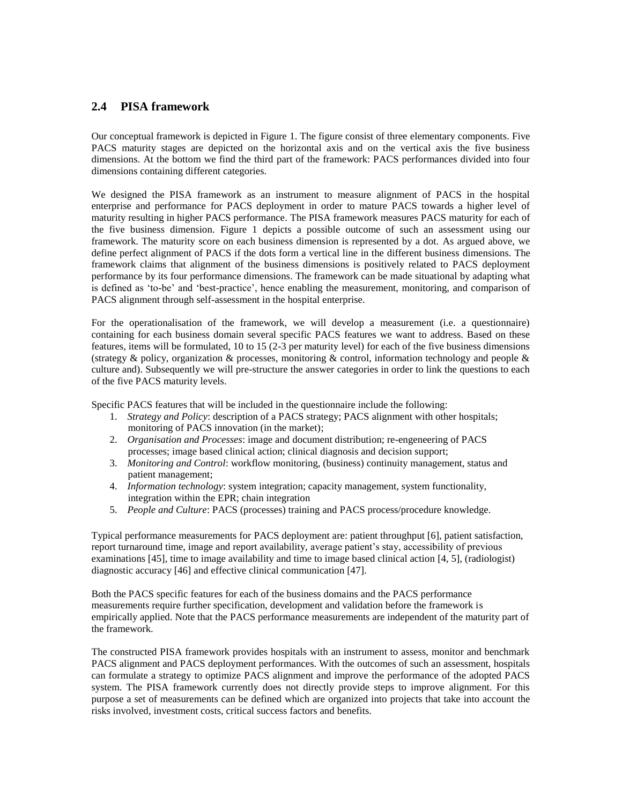#### **2.4 PISA framework**

Our conceptual framework is depicted in Figure 1. The figure consist of three elementary components. Five PACS maturity stages are depicted on the horizontal axis and on the vertical axis the five business dimensions. At the bottom we find the third part of the framework: PACS performances divided into four dimensions containing different categories.

We designed the PISA framework as an instrument to measure alignment of PACS in the hospital enterprise and performance for PACS deployment in order to mature PACS towards a higher level of maturity resulting in higher PACS performance. The PISA framework measures PACS maturity for each of the five business dimension. Figure 1 depicts a possible outcome of such an assessment using our framework. The maturity score on each business dimension is represented by a dot. As argued above, we define perfect alignment of PACS if the dots form a vertical line in the different business dimensions. The framework claims that alignment of the business dimensions is positively related to PACS deployment performance by its four performance dimensions. The framework can be made situational by adapting what is defined as "to-be" and "best-practice", hence enabling the measurement, monitoring, and comparison of PACS alignment through self-assessment in the hospital enterprise.

For the operationalisation of the framework, we will develop a measurement (i.e. a questionnaire) containing for each business domain several specific PACS features we want to address. Based on these features, items will be formulated, 10 to 15 (2-3 per maturity level) for each of the five business dimensions (strategy & policy, organization & processes, monitoring  $\&$  control, information technology and people  $\&$ culture and). Subsequently we will pre-structure the answer categories in order to link the questions to each of the five PACS maturity levels.

Specific PACS features that will be included in the questionnaire include the following:

- 1. *Strategy and Policy*: description of a PACS strategy; PACS alignment with other hospitals; monitoring of PACS innovation (in the market);
- 2. *Organisation and Processes*: image and document distribution; re-engeneering of PACS processes; image based clinical action; clinical diagnosis and decision support;
- 3. *Monitoring and Control*: workflow monitoring, (business) continuity management, status and patient management;
- 4. *Information technology*: system integration; capacity management, system functionality, integration within the EPR; chain integration
- 5. *People and Culture*: PACS (processes) training and PACS process/procedure knowledge.

Typical performance measurements for PACS deployment are: patient throughput [6], patient satisfaction, report turnaround time, image and report availability, average patient"s stay, accessibility of previous examinations [45], time to image availability and time to image based clinical action [4, 5], (radiologist) diagnostic accuracy [46] and effective clinical communication [47].

Both the PACS specific features for each of the business domains and the PACS performance measurements require further specification, development and validation before the framework is empirically applied. Note that the PACS performance measurements are independent of the maturity part of the framework.

The constructed PISA framework provides hospitals with an instrument to assess, monitor and benchmark PACS alignment and PACS deployment performances. With the outcomes of such an assessment, hospitals can formulate a strategy to optimize PACS alignment and improve the performance of the adopted PACS system. The PISA framework currently does not directly provide steps to improve alignment. For this purpose a set of measurements can be defined which are organized into projects that take into account the risks involved, investment costs, critical success factors and benefits.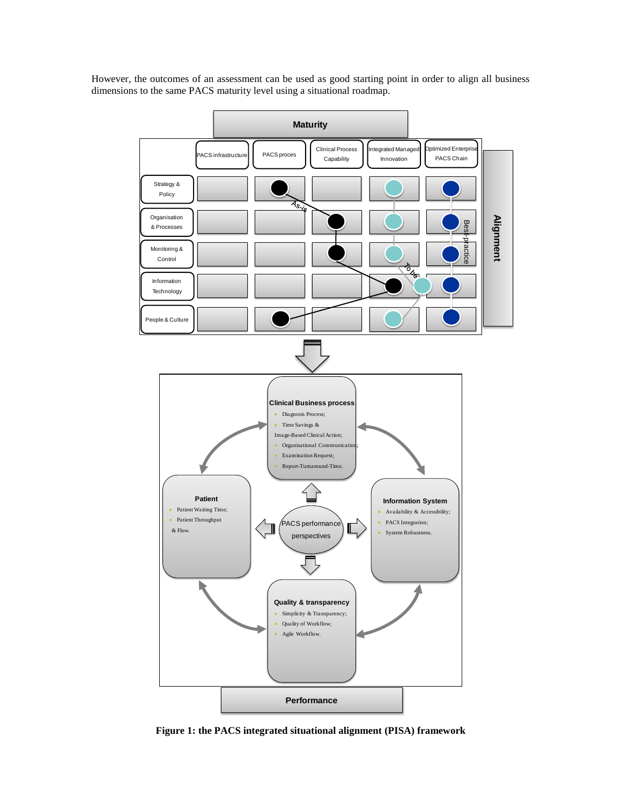However, the outcomes of an assessment can be used as good starting point in order to align all business dimensions to the same PACS maturity level using a situational roadmap.



**Figure 1: the PACS integrated situational alignment (PISA) framework**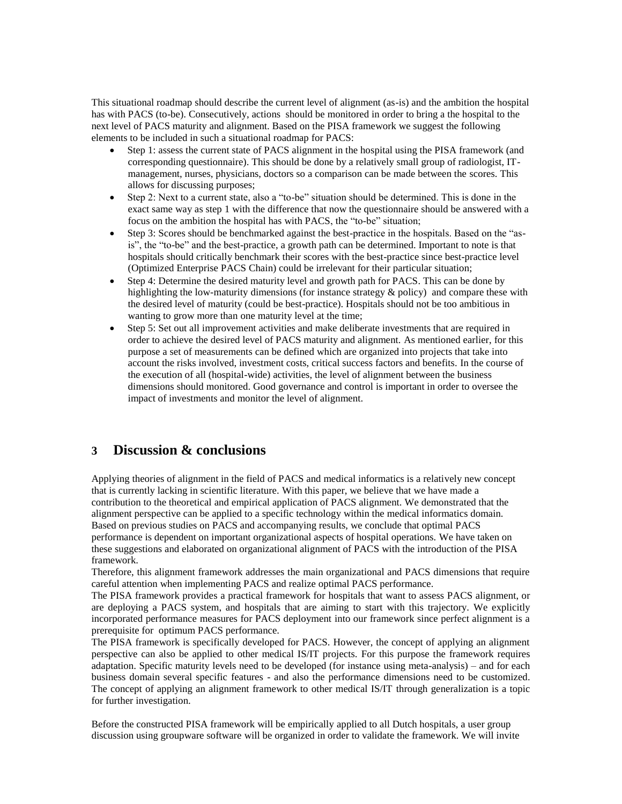This situational roadmap should describe the current level of alignment (as-is) and the ambition the hospital has with PACS (to-be). Consecutively, actions should be monitored in order to bring a the hospital to the next level of PACS maturity and alignment. Based on the PISA framework we suggest the following elements to be included in such a situational roadmap for PACS:

- Step 1: assess the current state of PACS alignment in the hospital using the PISA framework (and corresponding questionnaire). This should be done by a relatively small group of radiologist, ITmanagement, nurses, physicians, doctors so a comparison can be made between the scores. This allows for discussing purposes;
- Step 2: Next to a current state, also a "to-be" situation should be determined. This is done in the exact same way as step 1 with the difference that now the questionnaire should be answered with a focus on the ambition the hospital has with PACS, the "to-be" situation;
- Step 3: Scores should be benchmarked against the best-practice in the hospitals. Based on the "asis", the "to-be" and the best-practice, a growth path can be determined. Important to note is that hospitals should critically benchmark their scores with the best-practice since best-practice level (Optimized Enterprise PACS Chain) could be irrelevant for their particular situation;
- Step 4: Determine the desired maturity level and growth path for PACS. This can be done by highlighting the low-maturity dimensions (for instance strategy & policy) and compare these with the desired level of maturity (could be best-practice). Hospitals should not be too ambitious in wanting to grow more than one maturity level at the time;
- Step 5: Set out all improvement activities and make deliberate investments that are required in order to achieve the desired level of PACS maturity and alignment. As mentioned earlier, for this purpose a set of measurements can be defined which are organized into projects that take into account the risks involved, investment costs, critical success factors and benefits. In the course of the execution of all (hospital-wide) activities, the level of alignment between the business dimensions should monitored. Good governance and control is important in order to oversee the impact of investments and monitor the level of alignment.

### **3 Discussion & conclusions**

Applying theories of alignment in the field of PACS and medical informatics is a relatively new concept that is currently lacking in scientific literature. With this paper, we believe that we have made a contribution to the theoretical and empirical application of PACS alignment. We demonstrated that the alignment perspective can be applied to a specific technology within the medical informatics domain. Based on previous studies on PACS and accompanying results, we conclude that optimal PACS performance is dependent on important organizational aspects of hospital operations. We have taken on these suggestions and elaborated on organizational alignment of PACS with the introduction of the PISA framework.

Therefore, this alignment framework addresses the main organizational and PACS dimensions that require careful attention when implementing PACS and realize optimal PACS performance.

The PISA framework provides a practical framework for hospitals that want to assess PACS alignment, or are deploying a PACS system, and hospitals that are aiming to start with this trajectory. We explicitly incorporated performance measures for PACS deployment into our framework since perfect alignment is a prerequisite for optimum PACS performance.

The PISA framework is specifically developed for PACS. However, the concept of applying an alignment perspective can also be applied to other medical IS/IT projects. For this purpose the framework requires adaptation. Specific maturity levels need to be developed (for instance using meta-analysis) – and for each business domain several specific features - and also the performance dimensions need to be customized. The concept of applying an alignment framework to other medical IS/IT through generalization is a topic for further investigation.

Before the constructed PISA framework will be empirically applied to all Dutch hospitals, a user group discussion using groupware software will be organized in order to validate the framework. We will invite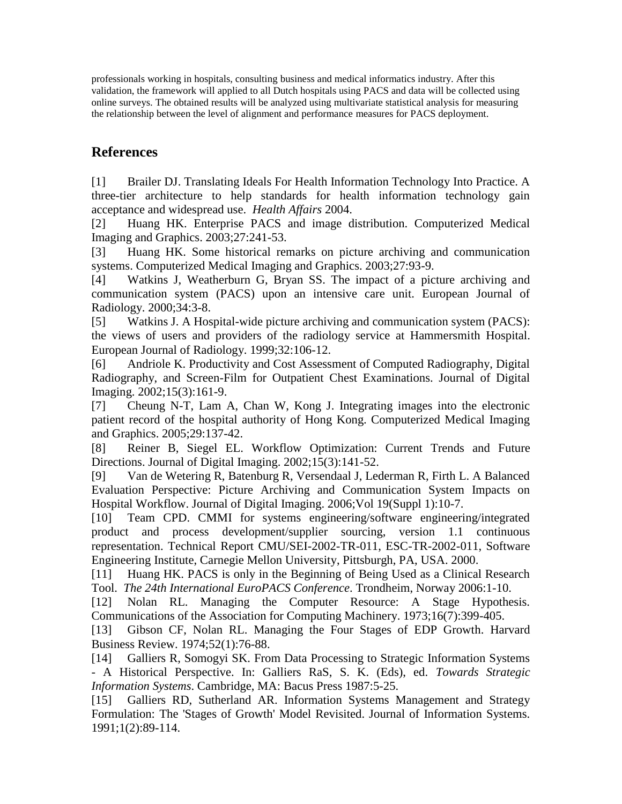professionals working in hospitals, consulting business and medical informatics industry. After this validation, the framework will applied to all Dutch hospitals using PACS and data will be collected using online surveys. The obtained results will be analyzed using multivariate statistical analysis for measuring the relationship between the level of alignment and performance measures for PACS deployment.

# **References**

[1] Brailer DJ. Translating Ideals For Health Information Technology Into Practice. A three-tier architecture to help standards for health information technology gain acceptance and widespread use. *Health Affairs* 2004.

[2] Huang HK. Enterprise PACS and image distribution. Computerized Medical Imaging and Graphics. 2003;27:241-53.

[3] Huang HK. Some historical remarks on picture archiving and communication systems. Computerized Medical Imaging and Graphics. 2003;27:93-9.

[4] Watkins J, Weatherburn G, Bryan SS. The impact of a picture archiving and communication system (PACS) upon an intensive care unit. European Journal of Radiology. 2000;34:3-8.

[5] Watkins J. A Hospital-wide picture archiving and communication system (PACS): the views of users and providers of the radiology service at Hammersmith Hospital. European Journal of Radiology. 1999;32:106-12.

[6] Andriole K. Productivity and Cost Assessment of Computed Radiography, Digital Radiography, and Screen-Film for Outpatient Chest Examinations. Journal of Digital Imaging. 2002;15(3):161-9.

[7] Cheung N-T, Lam A, Chan W, Kong J. Integrating images into the electronic patient record of the hospital authority of Hong Kong. Computerized Medical Imaging and Graphics. 2005;29:137-42.

[8] Reiner B, Siegel EL. Workflow Optimization: Current Trends and Future Directions. Journal of Digital Imaging. 2002;15(3):141-52.

[9] Van de Wetering R, Batenburg R, Versendaal J, Lederman R, Firth L. A Balanced Evaluation Perspective: Picture Archiving and Communication System Impacts on Hospital Workflow. Journal of Digital Imaging. 2006;Vol 19(Suppl 1):10-7.

[10] Team CPD. CMMI for systems engineering/software engineering/integrated product and process development/supplier sourcing, version 1.1 continuous representation. Technical Report CMU/SEI-2002-TR-011, ESC-TR-2002-011, Software Engineering Institute, Carnegie Mellon University, Pittsburgh, PA, USA. 2000.

[11] Huang HK. PACS is only in the Beginning of Being Used as a Clinical Research Tool. *The 24th International EuroPACS Conference*. Trondheim, Norway 2006:1-10.

[12] Nolan RL. Managing the Computer Resource: A Stage Hypothesis. Communications of the Association for Computing Machinery. 1973;16(7):399-405.

[13] Gibson CF, Nolan RL. Managing the Four Stages of EDP Growth. Harvard Business Review. 1974;52(1):76-88.

[14] Galliers R, Somogyi SK. From Data Processing to Strategic Information Systems - A Historical Perspective. In: Galliers RaS, S. K. (Eds), ed. *Towards Strategic Information Systems*. Cambridge, MA: Bacus Press 1987:5-25.

[15] Galliers RD, Sutherland AR. Information Systems Management and Strategy Formulation: The 'Stages of Growth' Model Revisited. Journal of Information Systems. 1991;1(2):89-114.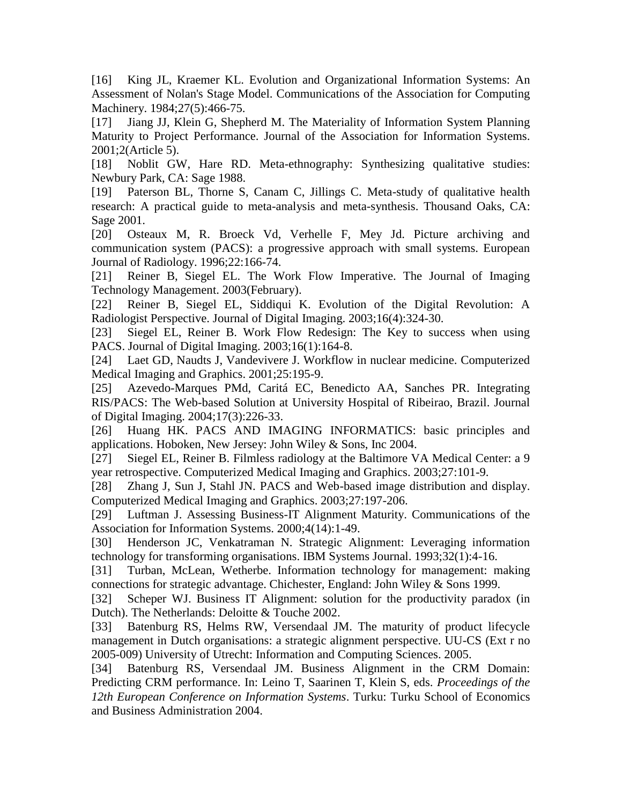[16] King JL, Kraemer KL. Evolution and Organizational Information Systems: An Assessment of Nolan's Stage Model. Communications of the Association for Computing Machinery. 1984;27(5):466-75.

[17] Jiang JJ, Klein G, Shepherd M. The Materiality of Information System Planning Maturity to Project Performance. Journal of the Association for Information Systems. 2001;2(Article 5).

[18] Noblit GW, Hare RD. Meta-ethnography: Synthesizing qualitative studies: Newbury Park, CA: Sage 1988.

[19] Paterson BL, Thorne S, Canam C, Jillings C. Meta-study of qualitative health research: A practical guide to meta-analysis and meta-synthesis. Thousand Oaks, CA: Sage 2001.

[20] Osteaux M, R. Broeck Vd, Verhelle F, Mey Jd. Picture archiving and communication system (PACS): a progressive approach with small systems. European Journal of Radiology. 1996;22:166-74.

[21] Reiner B, Siegel EL. The Work Flow Imperative. The Journal of Imaging Technology Management. 2003(February).

[22] Reiner B, Siegel EL, Siddiqui K. Evolution of the Digital Revolution: A Radiologist Perspective. Journal of Digital Imaging. 2003;16(4):324-30.

[23] Siegel EL, Reiner B. Work Flow Redesign: The Key to success when using PACS. Journal of Digital Imaging. 2003;16(1):164-8.

[24] Laet GD, Naudts J, Vandevivere J. Workflow in nuclear medicine. Computerized Medical Imaging and Graphics. 2001;25:195-9.

[25] Azevedo-Marques PMd, Caritá EC, Benedicto AA, Sanches PR. Integrating RIS/PACS: The Web-based Solution at University Hospital of Ribeirao, Brazil. Journal of Digital Imaging. 2004;17(3):226-33.

[26] Huang HK. PACS AND IMAGING INFORMATICS: basic principles and applications. Hoboken, New Jersey: John Wiley & Sons, Inc 2004.

[27] Siegel EL, Reiner B. Filmless radiology at the Baltimore VA Medical Center: a 9 year retrospective. Computerized Medical Imaging and Graphics. 2003;27:101-9.

[28] Zhang J, Sun J, Stahl JN. PACS and Web-based image distribution and display. Computerized Medical Imaging and Graphics. 2003;27:197-206.

[29] Luftman J. Assessing Business-IT Alignment Maturity. Communications of the Association for Information Systems. 2000;4(14):1-49.

[30] Henderson JC, Venkatraman N. Strategic Alignment: Leveraging information technology for transforming organisations. IBM Systems Journal. 1993;32(1):4-16.

[31] Turban, McLean, Wetherbe. Information technology for management: making connections for strategic advantage. Chichester, England: John Wiley & Sons 1999.

[32] Scheper WJ. Business IT Alignment: solution for the productivity paradox (in Dutch). The Netherlands: Deloitte & Touche 2002.

[33] Batenburg RS, Helms RW, Versendaal JM. The maturity of product lifecycle management in Dutch organisations: a strategic alignment perspective. UU-CS (Ext r no 2005-009) University of Utrecht: Information and Computing Sciences. 2005.

[34] Batenburg RS, Versendaal JM. Business Alignment in the CRM Domain: Predicting CRM performance. In: Leino T, Saarinen T, Klein S, eds. *Proceedings of the 12th European Conference on Information Systems*. Turku: Turku School of Economics and Business Administration 2004.